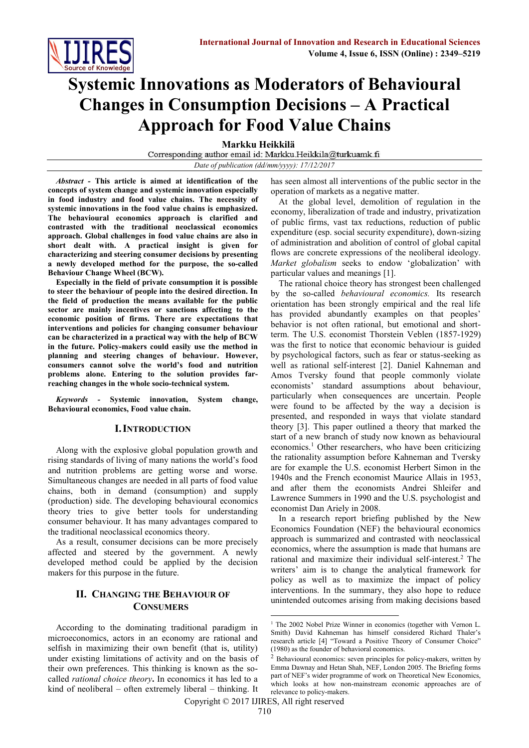

# **Systemic Innovations as Moderators of Behavioural Changes in Consumption Decisions – A Practical Approach for Food Value Chains**

**Markku Heikkilä**<br>Corresponding author email id: Markku.Heikkila@turkuamk.fi *Date of publication (dd/mm/yyyy): 17/12/2017*

*Abstract -* **This article is aimed at identification of the concepts of system change and systemic innovation especially in food industry and food value chains. The necessity of systemic innovations in the food value chains is emphasized. The behavioural economics approach is clarified and contrasted with the traditional neoclassical economics approach. Global challenges in food value chains are also in short dealt with. A practical insight is given for characterizing and steering consumer decisions by presenting a newly developed method for the purpose, the so-called Behaviour Change Wheel (BCW).** 

**Especially in the field of private consumption it is possible to steer the behaviour of people into the desired direction. In the field of production the means available for the public sector are mainly incentives or sanctions affecting to the economic position of firms. There are expectations that interventions and policies for changing consumer behaviour can be characterized in a practical way with the help of BCW in the future. Policy-makers could easily use the method in planning and steering changes of behaviour. However, consumers cannot solve the world's food and nutrition problems alone. Entering to the solution provides farreaching changes in the whole socio-technical system.**

*Keywords -* **Systemic innovation, System change, Behavioural economics, Food value chain.**

## **I.INTRODUCTION**

Along with the explosive global population growth and rising standards of living of many nations the world's food and nutrition problems are getting worse and worse. Simultaneous changes are needed in all parts of food value chains, both in demand (consumption) and supply (production) side. The developing behavioural economics theory tries to give better tools for understanding consumer behaviour. It has many advantages compared to the traditional neoclassical economics theory.

As a result, consumer decisions can be more precisely affected and steered by the government. A newly developed method could be applied by the decision makers for this purpose in the future.

## **II. CHANGING THE BEHAVIOUR OF CONSUMERS**

According to the dominating traditional paradigm in microeconomics, actors in an economy are rational and selfish in maximizing their own benefit (that is, utility) under existing limitations of activity and on the basis of their own preferences. This thinking is known as the socalled *rational choice theory***.** In economics it has led to a kind of neoliberal – often extremely liberal – thinking. It has seen almost all interventions of the public sector in the operation of markets as a negative matter.

At the global level, demolition of regulation in the economy, liberalization of trade and industry, privatization of public firms, vast tax reductions, reduction of public expenditure (esp. social security expenditure), down-sizing of administration and abolition of control of global capital flows are concrete expressions of the neoliberal ideology. *Market globalism* seeks to endow 'globalization' with particular values and meanings [1].

The rational choice theory has strongest been challenged by the so-called *behavioural economics.* Its research orientation has been strongly empirical and the real life has provided abundantly examples on that peoples' behavior is not often rational, but emotional and shortterm. The U.S. economist Thorstein Veblen (1857-1929) was the first to notice that economic behaviour is guided by psychological factors, such as fear or status-seeking as well as rational self-interest [2]. Daniel Kahneman and Amos Tversky found that people commonly violate economists' standard assumptions about behaviour, particularly when consequences are uncertain. People were found to be affected by the way a decision is presented, and responded in ways that violate standard theory [3]. This paper outlined a theory that marked the start of a new branch of study now known as behavioural economics.<sup>1</sup> Other researchers, who have been criticizing the rationality assumption before Kahneman and Tversky are for example the U.S. economist Herbert Simon in the 1940s and the French economist Maurice Allais in 1953, and after them the economists Andrei Shleifer and Lawrence Summers in 1990 and the U.S. psychologist and economist Dan Ariely in 2008.

In a research report briefing published by the New Economics Foundation (NEF) the behavioural economics approach is summarized and contrasted with neoclassical economics, where the assumption is made that humans are rational and maximize their individual self-interest.<sup>2</sup> The writers' aim is to change the analytical framework for policy as well as to maximize the impact of policy interventions. In the summary, they also hope to reduce unintended outcomes arising from making decisions based

Copyright © 2017 IJIRES, All right reserved

1

<sup>&</sup>lt;sup>1</sup> The 2002 Nobel Prize Winner in economics (together with Vernon L. Smith) David Kahneman has himself considered Richard Thaler's research article [4] "Toward a Positive Theory of Consumer Choice" (1980) as the founder of behavioral economics.

 $2$  Behavioural economics: seven principles for policy-makers, written by Emma Dawnay and Hetan Shah, NEF, London 2005. The Briefing forms part of NEF's wider programme of work on Theoretical New Economics, which looks at how non-mainstream economic approaches are of relevance to policy-makers.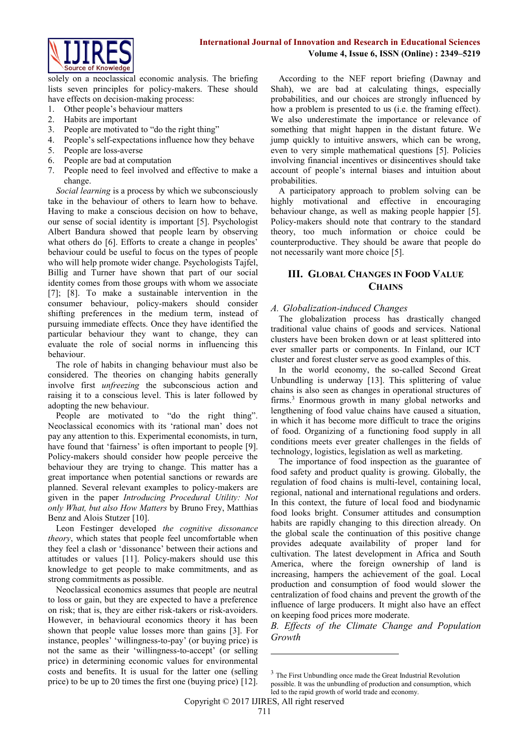

solely on a neoclassical economic analysis. The briefing lists seven principles for policy-makers. These should have effects on decision-making process:

- 1. Other people's behaviour matters
- 2. Habits are important
- 3. People are motivated to "do the right thing"
- 4. People's self-expectations influence how they behave
- 5. People are loss-averse
- 6. People are bad at computation
- 7. People need to feel involved and effective to make a change.

*Social learning* is a process by which we subconsciously take in the behaviour of others to learn how to behave. Having to make a conscious decision on how to behave, our sense of social identity is important [5]. Psychologist Albert Bandura showed that people learn by observing what others do [6]. Efforts to create a change in peoples' behaviour could be useful to focus on the types of people who will help promote wider change. Psychologists Tajfel, Billig and Turner have shown that part of our social identity comes from those groups with whom we associate [7]; [8]. To make a sustainable intervention in the consumer behaviour, policy-makers should consider shifting preferences in the medium term, instead of pursuing immediate effects. Once they have identified the particular behaviour they want to change, they can evaluate the role of social norms in influencing this behaviour.

The role of habits in changing behaviour must also be considered. The theories on changing habits generally involve first *unfreezing* the subconscious action and raising it to a conscious level. This is later followed by adopting the new behaviour.

People are motivated to "do the right thing". Neoclassical economics with its 'rational man' does not pay any attention to this. Experimental economists, in turn, have found that 'fairness' is often important to people [9]. Policy-makers should consider how people perceive the behaviour they are trying to change. This matter has a great importance when potential sanctions or rewards are planned. Several relevant examples to policy-makers are given in the paper *Introducing Procedural Utility: Not only What, but also How Matters* by Bruno Frey, Matthias Benz and Alois Stutzer [10].

Leon Festinger developed *the cognitive dissonance theory*, which states that people feel uncomfortable when they feel a clash or 'dissonance' between their actions and attitudes or values [11]. Policy-makers should use this knowledge to get people to make commitments, and as strong commitments as possible.

Neoclassical economics assumes that people are neutral to loss or gain, but they are expected to have a preference on risk; that is, they are either risk-takers or risk-avoiders. However, in behavioural economics theory it has been shown that people value losses more than gains [3]. For instance, peoples' 'willingness-to-pay' (or buying price) is not the same as their 'willingness-to-accept' (or selling price) in determining economic values for environmental costs and benefits. It is usual for the latter one (selling price) to be up to 20 times the first one (buying price) [12].

According to the NEF report briefing (Dawnay and Shah), we are bad at calculating things, especially probabilities, and our choices are strongly influenced by how a problem is presented to us (i.e. the framing effect). We also underestimate the importance or relevance of something that might happen in the distant future. We jump quickly to intuitive answers, which can be wrong, even to very simple mathematical questions [5]. Policies involving financial incentives or disincentives should take account of people's internal biases and intuition about probabilities.

A participatory approach to problem solving can be highly motivational and effective in encouraging behaviour change, as well as making people happier [5]. Policy-makers should note that contrary to the standard theory, too much information or choice could be counterproductive. They should be aware that people do not necessarily want more choice [5].

# **III. GLOBAL CHANGES IN FOOD VALUE CHAINS**

## *A. Globalization-induced Changes*

The globalization process has drastically changed traditional value chains of goods and services. National clusters have been broken down or at least splittered into ever smaller parts or components. In Finland, our ICT cluster and forest cluster serve as good examples of this.

In the world economy, the so-called Second Great Unbundling is underway [13]. This splittering of value chains is also seen as changes in operational structures of firms.<sup>3</sup> Enormous growth in many global networks and lengthening of food value chains have caused a situation, in which it has become more difficult to trace the origins of food. Organizing of a functioning food supply in all conditions meets ever greater challenges in the fields of technology, logistics, legislation as well as marketing.

The importance of food inspection as the guarantee of food safety and product quality is growing. Globally, the regulation of food chains is multi-level, containing local, regional, national and international regulations and orders. In this context, the future of local food and biodynamic food looks bright. Consumer attitudes and consumption habits are rapidly changing to this direction already. On the global scale the continuation of this positive change provides adequate availability of proper land for cultivation. The latest development in Africa and South America, where the foreign ownership of land is increasing, hampers the achievement of the goal. Local production and consumption of food would slower the centralization of food chains and prevent the growth of the influence of large producers. It might also have an effect on keeping food prices more moderate.

*B. Effects of the Climate Change and Population Growth*

 $\overline{\phantom{a}}$ 

<sup>&</sup>lt;sup>3</sup> The First Unbundling once made the Great Industrial Revolution

possible. It was the unbundling of production and consumption, which led to the rapid growth of world trade and economy.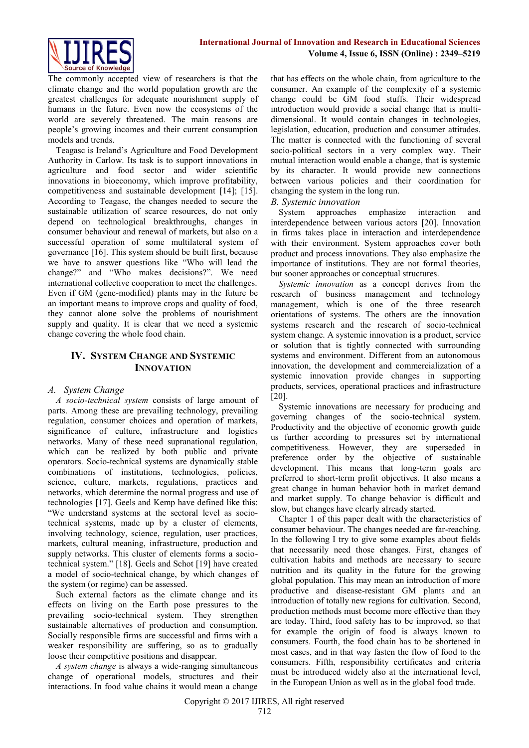

The commonly accepted view of researchers is that the climate change and the world population growth are the greatest challenges for adequate nourishment supply of humans in the future. Even now the ecosystems of the world are severely threatened. The main reasons are people's growing incomes and their current consumption models and trends.

Teagasc is Ireland's Agriculture and Food Development Authority in Carlow. Its task is to support innovations in agriculture and food sector and wider scientific innovations in bioeconomy, which improve profitability, competitiveness and sustainable development [14]; [15]. According to Teagasc, the changes needed to secure the sustainable utilization of scarce resources, do not only depend on technological breakthroughs, changes in consumer behaviour and renewal of markets, but also on a successful operation of some multilateral system of governance [16]. This system should be built first, because we have to answer questions like "Who will lead the change?" and "Who makes decisions?". We need international collective cooperation to meet the challenges. Even if GM (gene-modified) plants may in the future be an important means to improve crops and quality of food, they cannot alone solve the problems of nourishment supply and quality. It is clear that we need a systemic change covering the whole food chain.

## **IV. SYSTEM CHANGE AND SYSTEMIC INNOVATION**

## *A. System Change*

*A socio-technical system* consists of large amount of parts. Among these are prevailing technology, prevailing regulation, consumer choices and operation of markets, significance of culture, infrastructure and logistics networks. Many of these need supranational regulation, which can be realized by both public and private operators. Socio-technical systems are dynamically stable combinations of institutions, technologies, policies, science, culture, markets, regulations, practices and networks, which determine the normal progress and use of technologies [17]. Geels and Kemp have defined like this: "We understand systems at the sectoral level as sociotechnical systems, made up by a cluster of elements, involving technology, science, regulation, user practices, markets, cultural meaning, infrastructure, production and supply networks. This cluster of elements forms a sociotechnical system." [18]. Geels and Schot [19] have created a model of socio-technical change, by which changes of the system (or regime) can be assessed.

Such external factors as the climate change and its effects on living on the Earth pose pressures to the prevailing socio-technical system. They strengthen sustainable alternatives of production and consumption. Socially responsible firms are successful and firms with a weaker responsibility are suffering, so as to gradually loose their competitive positions and disappear.

*A system change* is always a wide-ranging simultaneous change of operational models, structures and their interactions. In food value chains it would mean a change

that has effects on the whole chain, from agriculture to the consumer. An example of the complexity of a systemic change could be GM food stuffs. Their widespread introduction would provide a social change that is multidimensional. It would contain changes in technologies, legislation, education, production and consumer attitudes. The matter is connected with the functioning of several socio-political sectors in a very complex way. Their mutual interaction would enable a change, that is systemic by its character. It would provide new connections between various policies and their coordination for changing the system in the long run.

## *B. Systemic innovation*

System approaches emphasize interaction and interdependence between various actors [20]. Innovation in firms takes place in interaction and interdependence with their environment. System approaches cover both product and process innovations. They also emphasize the importance of institutions. They are not formal theories, but sooner approaches or conceptual structures.

*Systemic innovation* as a concept derives from the research of business management and technology management, which is one of the three research orientations of systems. The others are the innovation systems research and the research of socio-technical system change. A systemic innovation is a product, service or solution that is tightly connected with surrounding systems and environment. Different from an autonomous innovation, the development and commercialization of a systemic innovation provide changes in supporting products, services, operational practices and infrastructure [20].

Systemic innovations are necessary for producing and governing changes of the socio-technical system. Productivity and the objective of economic growth guide us further according to pressures set by international competitiveness. However, they are superseded in preference order by the objective of sustainable development. This means that long-term goals are preferred to short-term profit objectives. It also means a great change in human behavior both in market demand and market supply. To change behavior is difficult and slow, but changes have clearly already started.

Chapter 1 of this paper dealt with the characteristics of consumer behaviour. The changes needed are far-reaching. In the following I try to give some examples about fields that necessarily need those changes. First, changes of cultivation habits and methods are necessary to secure nutrition and its quality in the future for the growing global population. This may mean an introduction of more productive and disease-resistant GM plants and an introduction of totally new regions for cultivation. Second, production methods must become more effective than they are today. Third, food safety has to be improved, so that for example the origin of food is always known to consumers. Fourth, the food chain has to be shortened in most cases, and in that way fasten the flow of food to the consumers. Fifth, responsibility certificates and criteria must be introduced widely also at the international level, in the European Union as well as in the global food trade.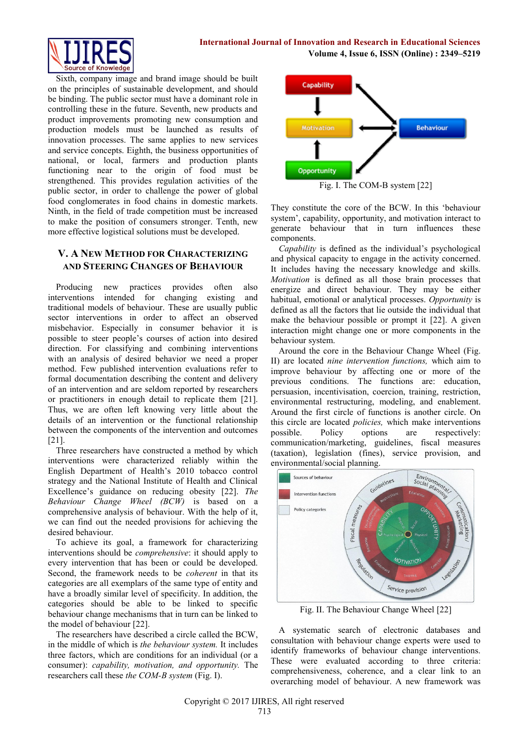

Sixth, company image and brand image should be built on the principles of sustainable development, and should be binding. The public sector must have a dominant role in controlling these in the future. Seventh, new products and product improvements promoting new consumption and production models must be launched as results of innovation processes. The same applies to new services and service concepts. Eighth, the business opportunities of national, or local, farmers and production plants functioning near to the origin of food must be strengthened. This provides regulation activities of the public sector, in order to challenge the power of global food conglomerates in food chains in domestic markets. Ninth, in the field of trade competition must be increased to make the position of consumers stronger. Tenth, new more effective logistical solutions must be developed.

## **V. A NEW METHOD FOR CHARACTERIZING AND STEERING CHANGES OF BEHAVIOUR**

Producing new practices provides often also interventions intended for changing existing and traditional models of behaviour. These are usually public sector interventions in order to affect an observed misbehavior. Especially in consumer behavior it is possible to steer people's courses of action into desired direction. For classifying and combining interventions with an analysis of desired behavior we need a proper method. Few published intervention evaluations refer to formal documentation describing the content and delivery of an intervention and are seldom reported by researchers or practitioners in enough detail to replicate them [21]. Thus, we are often left knowing very little about the details of an intervention or the functional relationship between the components of the intervention and outcomes [21].

Three researchers have constructed a method by which interventions were characterized reliably within the English Department of Health's 2010 tobacco control strategy and the National Institute of Health and Clinical Excellence's guidance on reducing obesity [22]. *The Behaviour Change Wheel (BCW)* is based on a comprehensive analysis of behaviour. With the help of it, we can find out the needed provisions for achieving the desired behaviour.

To achieve its goal, a framework for characterizing interventions should be *comprehensive*: it should apply to every intervention that has been or could be developed. Second, the framework needs to be *coherent* in that its categories are all exemplars of the same type of entity and have a broadly similar level of specificity. In addition, the categories should be able to be linked to specific behaviour change mechanisms that in turn can be linked to the model of behaviour [22].

The researchers have described a circle called the BCW, in the middle of which is *the behaviour system.* It includes three factors, which are conditions for an individual (or a consumer): *capability, motivation, and opportunity.* The researchers call these *the COM-B system* (Fig. I).



Fig. I. The COM-B system [22]

They constitute the core of the BCW. In this 'behaviour system', capability, opportunity, and motivation interact to generate behaviour that in turn influences these components.

*Capability* is defined as the individual's psychological and physical capacity to engage in the activity concerned. It includes having the necessary knowledge and skills. *Motivation* is defined as all those brain processes that energize and direct behaviour. They may be either habitual, emotional or analytical processes. *Opportunity* is defined as all the factors that lie outside the individual that make the behaviour possible or prompt it [22]. A given interaction might change one or more components in the behaviour system.

Around the core in the Behaviour Change Wheel (Fig. II) are located *nine intervention functions,* which aim to improve behaviour by affecting one or more of the previous conditions. The functions are: education, persuasion, incentivisation, coercion, training, restriction, environmental restructuring, modeling, and enablement. Around the first circle of functions is another circle. On this circle are located *policies,* which make interventions possible. Policy options are respectively: communication/marketing, guidelines, fiscal measures (taxation), legislation (fines), service provision, and environmental/social planning.



Fig. II. The Behaviour Change Wheel [22]

A systematic search of electronic databases and consultation with behaviour change experts were used to identify frameworks of behaviour change interventions. These were evaluated according to three criteria: comprehensiveness, coherence, and a clear link to an overarching model of behaviour. A new framework was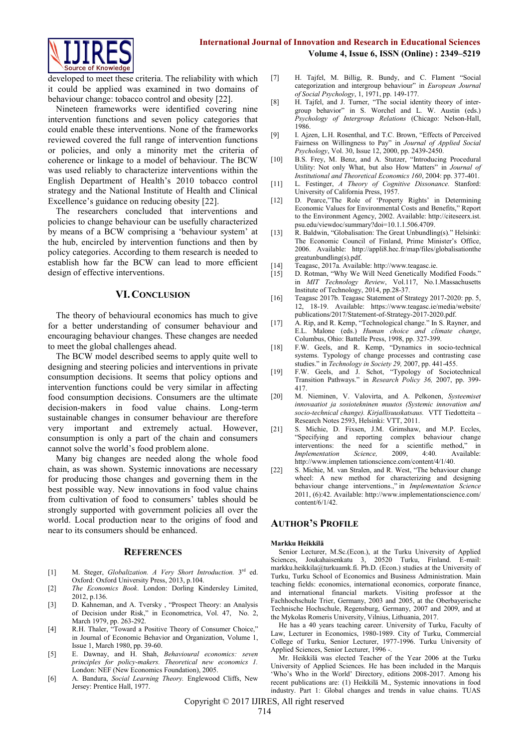

developed to meet these criteria. The reliability with which it could be applied was examined in two domains of behaviour change: tobacco control and obesity [22].

Nineteen frameworks were identified covering nine intervention functions and seven policy categories that could enable these interventions. None of the frameworks reviewed covered the full range of intervention functions or policies, and only a minority met the criteria of coherence or linkage to a model of behaviour. The BCW was used reliably to characterize interventions within the English Department of Health's 2010 tobacco control strategy and the National Institute of Health and Clinical Excellence's guidance on reducing obesity [22].

The researchers concluded that interventions and policies to change behaviour can be usefully characterized by means of a BCW comprising a 'behaviour system' at the hub, encircled by intervention functions and then by policy categories. According to them research is needed to establish how far the BCW can lead to more efficient design of effective interventions.

## **VI.CONCLUSION**

The theory of behavioural economics has much to give for a better understanding of consumer behaviour and encouraging behaviour changes. These changes are needed to meet the global challenges ahead.

The BCW model described seems to apply quite well to designing and steering policies and interventions in private consumption decisions. It seems that policy options and intervention functions could be very similar in affecting food consumption decisions. Consumers are the ultimate decision-makers in food value chains. Long-term sustainable changes in consumer behaviour are therefore very important and extremely actual. However, consumption is only a part of the chain and consumers cannot solve the world's food problem alone.

Many big changes are needed along the whole food chain, as was shown. Systemic innovations are necessary for producing those changes and governing them in the best possible way. New innovations in food value chains from cultivation of food to consumers' tables should be strongly supported with government policies all over the world. Local production near to the origins of food and near to its consumers should be enhanced.

#### **REFERENCES**

- [1] M. Steger, *Globalization. A Very Short Introduction*. 3<sup>rd</sup> ed. Oxford: Oxford University Press, 2013, p.104.
- [2] *The Economics Book*. London: Dorling Kindersley Limited, 2012, p.136.
- [3] D. Kahneman, and A. Tversky , "Prospect Theory: an Analysis of Decision under Risk," in Econometrica, Vol. 47, No. 2, March 1979, pp. 263-292.
- [4] R.H. Thaler, "Toward a Positive Theory of Consumer Choice," in Journal of Economic Behavior and Organization, Volume 1, Issue 1, March 1980, pp. 39-60.
- [5] E. Dawnay, and H. Shah, *Behavioural economics: seven principles for policy-makers. Theoretical new economics 1.* London: NEF (New Economics Foundation), 2005.
- [6] A. Bandura, *Social Learning Theory.* Englewood Cliffs, New Jersey: Prentice Hall, 1977.
- [7] H. Tajfel, M. Billig, R. Bundy, and C. Flament "Social categorization and intergroup behaviour" in *European Journal of Social Psychology*, 1, 1971, pp. 149-177.
- [8] H. Tajfel, and J. Turner, "The social identity theory of intergroup behavior" in S. Worchel and L. W. Austin (eds.) *Psychology of Intergroup Relations* (Chicago: Nelson-Hall, 1986.
- [9] I. Ajzen, L.H. Rosenthal, and T.C. Brown, "Effects of Perceived Fairness on Willingness to Pay" in *Journal of Applied Social Psychology*, Vol. 30, Issue 12, 2000, pp. 2439-2450.
- [10] B.S. Frey, M. Benz, and A. Stutzer, "Introducing Procedural Utility: Not only What, but also How Matters" in *Journal of Institutional and Theoretical Economics 160*, 2004: pp. 377-401.
- [11] L. Festinger, *A Theory of Cognitive Dissonance.* Stanford: University of California Press, 1957.
- [12] D. Pearce,"The Role of 'Property Rights' in Determining Economic Values for Environmental Costs and Benefits," Report to the Environment Agency, 2002. Available: http://citeseerx.ist. psu.edu/viewdoc/summary?doi=10.1.1.506.4709.
- [13] R. Baldwin, "Globalisation: The Great Unbundling(s)." Helsinki: The Economic Council of Finland, Prime Minister's Office, 2006. Available: http://appli8.hec.fr/map/files/globalisationthe greatunbundling(s).pdf.
- [14] Teagasc, 2017a. Available: http://www.teagasc.ie.
- [15] D. Rotman, "Why We Will Need Genetically Modified Foods." in *MIT Technology Review*, Vol.117, No.1.Massachusetts Institute of Technology, 2014, pp.28-37.
- [16] Teagasc 2017b. Teagasc Statement of Strategy 2017-2020: pp. 5, 12, 18-19. Available: https://www.teagasc.ie/media/website/ publications/2017/Statement-of-Strategy-2017-2020.pdf.
- [17] A. Rip, and R. Kemp, "Technological change." In S. Rayner, and E.L. Malone (eds.) *Human choice and climate change*, Columbus, Ohio: Battelle Press, 1998, pp. 327-399.
- [18] F.W. Geels, and R. Kemp, "Dynamics in socio-technical systems. Typology of change processes and contrasting case studies." in *Technology in Society 29,* 2007, pp. 441-455.
- [19] F.W. Geels, and J. Schot, "Typology of Sociotechnical Transition Pathways." in *Research Policy 36,* 2007, pp. 399- 417.
- [20] M. Nieminen, V. Valovirta, and A. Pelkonen, *Systeemiset innovaatiot ja sosiotekninen muutos (Systemic innovation and socio-technical change). Kirjallisuuskatsaus.* VTT Tiedotteita – Research Notes 2593, Helsinki: VTT, 2011.
- [21] S. Michie, D. Fixsen, J.M. Grimshaw, and M.P. Eccles, "Specifying and reporting complex behaviour change interventions: the need for a scientific method," in<br> *Implementation Science*, 2009, 4:40. Available: *Implementation Science,* 2009, 4:40. Available: http://www.implemen tationscience.com/content/4/1/40.
- [22] S. Michie, M. van Stralen, and R. West, "The behaviour change wheel: A new method for characterizing and designing behaviour change interventions.," in *Implementation Science* 2011, (6):42. Available: http://www.implementationscience.com/ content/6/1/42.

## **AUTHOR'S PROFILE**

#### **Markku Heikkilä**

Senior Lecturer, M.Sc.(Econ.), at the Turku University of Applied Sciences, Joukahaisenkatu 3, 20520 Turku, Finland. E-mail: [markku.heikkila@turkuamk.fi.](mailto:markku.heikkila@turkuamk.fi) Ph.D. (Econ.) studies at the University of Turku, Turku School of Economics and Business Administration. Main teaching fields: economics, international economics, corporate finance, and international financial markets. Visiting professor at the Fachhochschule Trier, Germany, 2003 and 2005, at the Oberbayerische Technische Hochschule, Regensburg, Germany, 2007 and 2009, and at the Mykolas Romeris University, Vilnius, Lithuania, 2017.

He has a 40 years teaching career. University of Turku, Faculty of Law, Lecturer in Economics, 1980-1989. City of Turku, Commercial College of Turku, Senior Lecturer, 1977-1996. Turku University of Applied Sciences, Senior Lecturer, 1996 -

Mr. Heikkilä was elected Teacher of the Year 2006 at the Turku University of Applied Sciences. He has been included in the Marquis 'Who's Who in the World' Directory, editions 2008-2017. Among his recent publications are: (1) Heikkilä M., Systemic innovations in food industry. Part 1: Global changes and trends in value chains. TUAS

Copyright © 2017 IJIRES, All right reserved